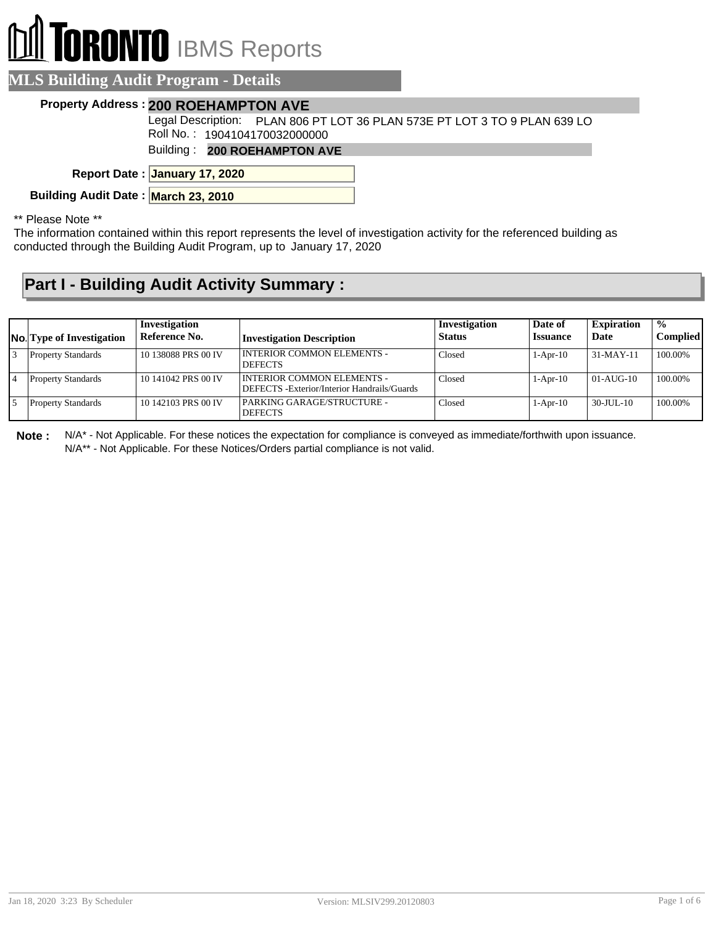## **TORONTO** IBMS Reports

| <b>MLS Building Audit Program - Details</b> |                                                                           |  |  |  |  |
|---------------------------------------------|---------------------------------------------------------------------------|--|--|--|--|
|                                             | <b>Property Address: 200 ROEHAMPTON AVE</b>                               |  |  |  |  |
|                                             | Legal Description: PLAN 806 PT LOT 36 PLAN 573E PT LOT 3 TO 9 PLAN 639 LO |  |  |  |  |
|                                             | Roll No.: 1904104170032000000                                             |  |  |  |  |
|                                             | Building: 200 ROEHAMPTON AVE                                              |  |  |  |  |
|                                             | Report Date: January 17, 2020                                             |  |  |  |  |
| Building Audit Date: March 23, 2010         |                                                                           |  |  |  |  |

\*\* Please Note \*\*

The information contained within this report represents the level of investigation activity for the referenced building as conducted through the Building Audit Program, up to January 17, 2020

## **Part I - Building Audit Activity Summary :**

| <b>No.</b> Type of Investigation | Investigation<br>Reference No. | <b>Investigation Description</b>                                           | Investigation<br><b>Status</b> | Date of<br><b>Issuance</b> | <b>Expiration</b><br>Date | $\frac{0}{0}$<br><b>Complied</b> |
|----------------------------------|--------------------------------|----------------------------------------------------------------------------|--------------------------------|----------------------------|---------------------------|----------------------------------|
| <b>Property Standards</b>        | 10 138088 PRS 00 IV            | I INTERIOR COMMON ELEMENTS -<br><b>DEFECTS</b>                             | Closed                         | $1-Apr-10$                 | 31-MAY-11                 | 100.00%                          |
| <b>Property Standards</b>        | 10 141042 PRS 00 IV            | INTERIOR COMMON ELEMENTS -<br>DEFECTS - Exterior/Interior Handrails/Guards | Closed                         | $1-Apr-10$                 | $01-AUG-10$               | 100.00%                          |
| <b>Property Standards</b>        | 10 142103 PRS 00 IV            | PARKING GARAGE/STRUCTURE -<br><b>DEFECTS</b>                               | Closed                         | $1-Apr-10$                 | 30-JUL-10                 | 100.00%                          |

**Note :** N/A\* - Not Applicable. For these notices the expectation for compliance is conveyed as immediate/forthwith upon issuance. N/A\*\* - Not Applicable. For these Notices/Orders partial compliance is not valid.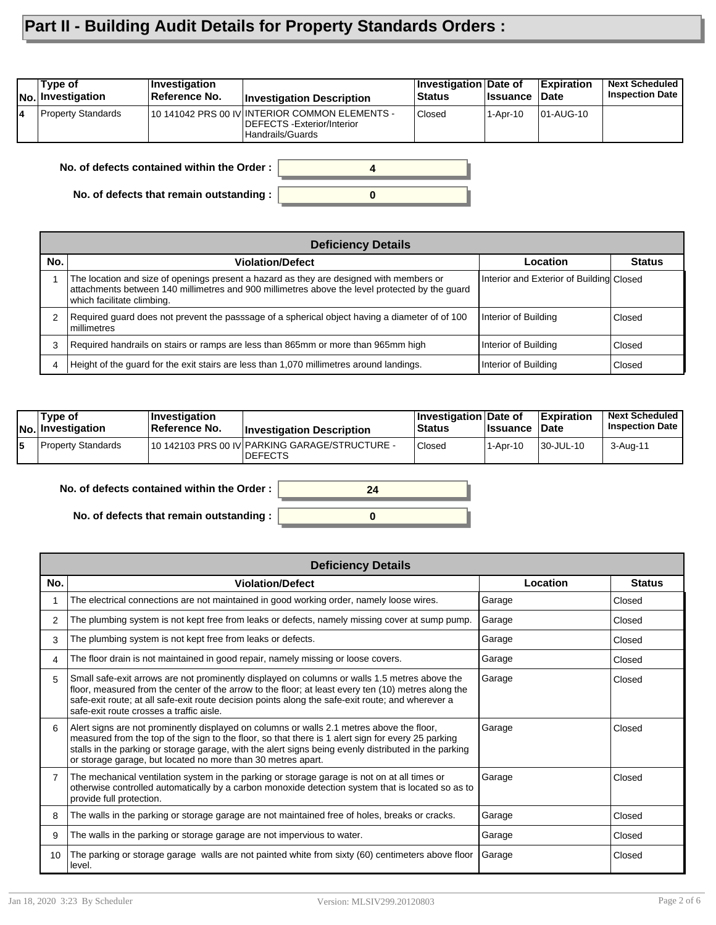## **Part II - Building Audit Details for Property Standards Orders :**

| Type of<br><b>No. Investigation</b> | <b>Investigation</b><br>Reference No. | <b>Investigation Description</b>                                                                  | Investigation Date of<br>Status | ∣Issuance | Expiration<br>∣Date | <b>Next Scheduled</b><br><b>Inspection Date</b> |
|-------------------------------------|---------------------------------------|---------------------------------------------------------------------------------------------------|---------------------------------|-----------|---------------------|-------------------------------------------------|
| <b>Property Standards</b>           |                                       | 10 141042 PRS 00 IV INTERIOR COMMON ELEMENTS -<br>DEFECTS - Exterior/Interior<br>Handrails/Guards | Closed                          | 1-Apr-10  | 101-AUG-10          |                                                 |
|                                     |                                       |                                                                                                   |                                 |           |                     |                                                 |

**No. of defects contained within the Order :**

**No. of defects that remain outstanding :**

|     | <b>Deficiency Details</b>                                                                                                                                                                                               |                                          |               |  |  |  |  |  |
|-----|-------------------------------------------------------------------------------------------------------------------------------------------------------------------------------------------------------------------------|------------------------------------------|---------------|--|--|--|--|--|
| No. | <b>Violation/Defect</b>                                                                                                                                                                                                 | Location                                 | <b>Status</b> |  |  |  |  |  |
|     | The location and size of openings present a hazard as they are designed with members or<br>attachments between 140 millimetres and 900 millimetres above the level protected by the quard<br>which facilitate climbing. | Interior and Exterior of Building Closed |               |  |  |  |  |  |
| 2   | Required guard does not prevent the passsage of a spherical object having a diameter of of 100<br>l millimetres                                                                                                         | Interior of Building                     | Closed        |  |  |  |  |  |
| 3   | Required handrails on stairs or ramps are less than 865mm or more than 965mm high                                                                                                                                       | Interior of Building                     | Closed        |  |  |  |  |  |
| 4   | Height of the guard for the exit stairs are less than 1,070 millimetres around landings.                                                                                                                                | Interior of Building                     | Closed        |  |  |  |  |  |

**0**

**4**

| Tvpe of<br>$ No $ Investigation | ∣Investiqation<br>∣Reference No. | <b>Investigation Description</b>                                 | <b>Investigation Date of</b><br><b>Status</b> | <b>∣lssuance</b> | <b>Expiration</b><br>Date | <b>Next Scheduled</b><br><b>Inspection Date</b> |
|---------------------------------|----------------------------------|------------------------------------------------------------------|-----------------------------------------------|------------------|---------------------------|-------------------------------------------------|
| Property Standards              |                                  | 10 142103 PRS 00 IV PARKING GARAGE/STRUCTURE -<br><b>DEFECTS</b> | Closed                                        | $1-Apr-10$       | 30-JUL-10                 | 3-Aug-11                                        |

**No. of defects contained within the Order :**

**No. of defects that remain outstanding :**



|     | <b>Deficiency Details</b>                                                                                                                                                                                                                                                                                                                                                |          |               |  |  |  |  |
|-----|--------------------------------------------------------------------------------------------------------------------------------------------------------------------------------------------------------------------------------------------------------------------------------------------------------------------------------------------------------------------------|----------|---------------|--|--|--|--|
| No. | <b>Violation/Defect</b>                                                                                                                                                                                                                                                                                                                                                  | Location | <b>Status</b> |  |  |  |  |
|     | The electrical connections are not maintained in good working order, namely loose wires.                                                                                                                                                                                                                                                                                 | Garage   | Closed        |  |  |  |  |
| 2   | The plumbing system is not kept free from leaks or defects, namely missing cover at sump pump.                                                                                                                                                                                                                                                                           | Garage   | Closed        |  |  |  |  |
| 3   | The plumbing system is not kept free from leaks or defects.                                                                                                                                                                                                                                                                                                              | Garage   | Closed        |  |  |  |  |
| 4   | The floor drain is not maintained in good repair, namely missing or loose covers.                                                                                                                                                                                                                                                                                        | Garage   | Closed        |  |  |  |  |
| 5   | Small safe-exit arrows are not prominently displayed on columns or walls 1.5 metres above the<br>floor, measured from the center of the arrow to the floor; at least every ten (10) metres along the<br>safe-exit route; at all safe-exit route decision points along the safe-exit route; and wherever a<br>safe-exit route crosses a traffic aisle.                    | Garage   | Closed        |  |  |  |  |
| 6   | Alert signs are not prominently displayed on columns or walls 2.1 metres above the floor,<br>measured from the top of the sign to the floor, so that there is 1 alert sign for every 25 parking<br>stalls in the parking or storage garage, with the alert signs being evenly distributed in the parking<br>or storage garage, but located no more than 30 metres apart. | Garage   | Closed        |  |  |  |  |
|     | The mechanical ventilation system in the parking or storage garage is not on at all times or<br>otherwise controlled automatically by a carbon monoxide detection system that is located so as to<br>provide full protection.                                                                                                                                            | Garage   | Closed        |  |  |  |  |
| 8   | The walls in the parking or storage garage are not maintained free of holes, breaks or cracks.                                                                                                                                                                                                                                                                           | Garage   | Closed        |  |  |  |  |
| 9   | The walls in the parking or storage garage are not impervious to water.                                                                                                                                                                                                                                                                                                  | Garage   | Closed        |  |  |  |  |
| 10  | The parking or storage garage walls are not painted white from sixty (60) centimeters above floor<br>level.                                                                                                                                                                                                                                                              | Garage   | Closed        |  |  |  |  |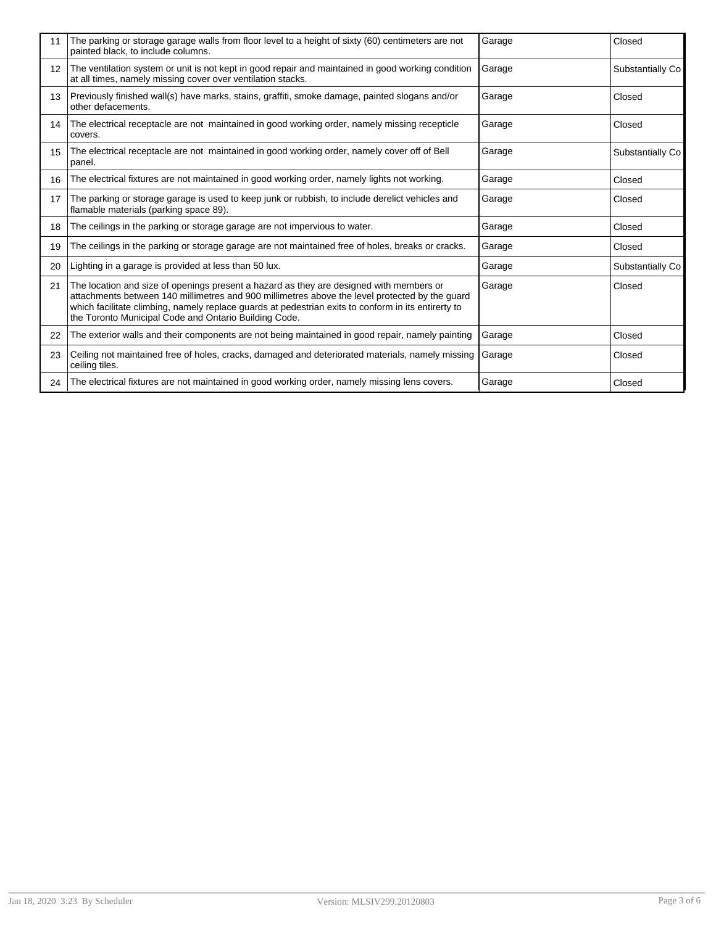| 11                | The parking or storage garage walls from floor level to a height of sixty (60) centimeters are not<br>painted black, to include columns.                                                                                                                                                                                                                  | Garage | Closed           |
|-------------------|-----------------------------------------------------------------------------------------------------------------------------------------------------------------------------------------------------------------------------------------------------------------------------------------------------------------------------------------------------------|--------|------------------|
| $12 \overline{ }$ | The ventilation system or unit is not kept in good repair and maintained in good working condition<br>at all times, namely missing cover over ventilation stacks.                                                                                                                                                                                         | Garage | Substantially Co |
| 13                | Previously finished wall(s) have marks, stains, graffiti, smoke damage, painted slogans and/or<br>other defacements.                                                                                                                                                                                                                                      | Garage | Closed           |
| 14                | The electrical receptacle are not maintained in good working order, namely missing recepticle<br>covers.                                                                                                                                                                                                                                                  | Garage | Closed           |
| 15                | The electrical receptacle are not maintained in good working order, namely cover off of Bell<br>panel.                                                                                                                                                                                                                                                    | Garage | Substantially Co |
| 16                | The electrical fixtures are not maintained in good working order, namely lights not working.                                                                                                                                                                                                                                                              | Garage | Closed           |
| 17                | The parking or storage garage is used to keep junk or rubbish, to include derelict vehicles and<br>flamable materials (parking space 89).                                                                                                                                                                                                                 | Garage | Closed           |
| 18                | The ceilings in the parking or storage garage are not impervious to water.                                                                                                                                                                                                                                                                                | Garage | Closed           |
| 19                | The ceilings in the parking or storage garage are not maintained free of holes, breaks or cracks.                                                                                                                                                                                                                                                         | Garage | Closed           |
| 20                | Lighting in a garage is provided at less than 50 lux.                                                                                                                                                                                                                                                                                                     | Garage | Substantially Co |
| 21                | The location and size of openings present a hazard as they are designed with members or<br>attachments between 140 millimetres and 900 millimetres above the level protected by the guard<br>which facilitate climbing, namely replace guards at pedestrian exits to conform in its entirerty to<br>the Toronto Municipal Code and Ontario Building Code. | Garage | Closed           |
| 22                | The exterior walls and their components are not being maintained in good repair, namely painting                                                                                                                                                                                                                                                          | Garage | Closed           |
| 23                | Ceiling not maintained free of holes, cracks, damaged and deteriorated materials, namely missing<br>ceiling tiles.                                                                                                                                                                                                                                        | Garage | Closed           |
| 24                | The electrical fixtures are not maintained in good working order, namely missing lens covers.                                                                                                                                                                                                                                                             | Garage | Closed           |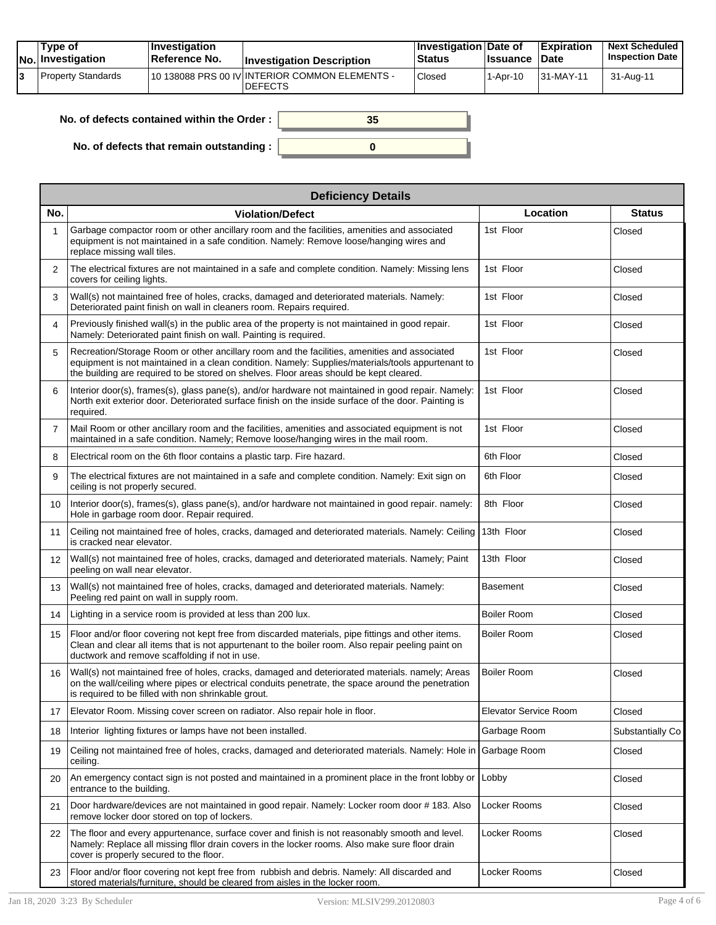| Tvpe of<br>No. Investigation | <b>Investigation</b><br>⊺Reference No. | <b>Investigation Description</b>                                  | <b>∣Investigation Date of</b><br>Status | <b>Issuance</b> | <b>Expiration</b><br><b>∣Date</b> | <b>Next Scheduled</b><br><b>Inspection Date</b> |
|------------------------------|----------------------------------------|-------------------------------------------------------------------|-----------------------------------------|-----------------|-----------------------------------|-------------------------------------------------|
| Property Standards           |                                        | 110 138088 PRS 00 IV INTERIOR COMMON ELEMENTS -<br><b>DEFECTS</b> | Closed                                  | 1-Apr-10        | $ 31-MAY-11$                      | 31-Aug-11                                       |

| No. of defects contained within the Order : $\vert$ | 35 |
|-----------------------------------------------------|----|
| No. of defects that remain outstanding :            |    |

| <b>Deficiency Details</b> |                                                                                                                                                                                                                                                                                             |                       |                  |  |  |  |  |
|---------------------------|---------------------------------------------------------------------------------------------------------------------------------------------------------------------------------------------------------------------------------------------------------------------------------------------|-----------------------|------------------|--|--|--|--|
| No.                       | <b>Violation/Defect</b>                                                                                                                                                                                                                                                                     | Location              | <b>Status</b>    |  |  |  |  |
| 1                         | Garbage compactor room or other ancillary room and the facilities, amenities and associated<br>equipment is not maintained in a safe condition. Namely: Remove loose/hanging wires and<br>replace missing wall tiles.                                                                       | 1st Floor             | Closed           |  |  |  |  |
| $\overline{2}$            | The electrical fixtures are not maintained in a safe and complete condition. Namely: Missing lens<br>covers for ceiling lights.                                                                                                                                                             | 1st Floor             | Closed           |  |  |  |  |
| 3                         | Wall(s) not maintained free of holes, cracks, damaged and deteriorated materials. Namely:<br>Deteriorated paint finish on wall in cleaners room. Repairs required.                                                                                                                          | 1st Floor             | Closed           |  |  |  |  |
| 4                         | Previously finished wall(s) in the public area of the property is not maintained in good repair.<br>Namely: Deteriorated paint finish on wall. Painting is required.                                                                                                                        | 1st Floor             | Closed           |  |  |  |  |
| 5                         | Recreation/Storage Room or other ancillary room and the facilities, amenities and associated<br>equipment is not maintained in a clean condition. Namely: Supplies/materials/tools appurtenant to<br>the building are required to be stored on shelves. Floor areas should be kept cleared. | 1st Floor             | Closed           |  |  |  |  |
| 6                         | Interior door(s), frames(s), glass pane(s), and/or hardware not maintained in good repair. Namely:<br>North exit exterior door. Deteriorated surface finish on the inside surface of the door. Painting is<br>required.                                                                     | 1st Floor             | Closed           |  |  |  |  |
| $\overline{7}$            | Mail Room or other ancillary room and the facilities, amenities and associated equipment is not<br>maintained in a safe condition. Namely: Remove loose/hanging wires in the mail room.                                                                                                     | 1st Floor             | Closed           |  |  |  |  |
| 8                         | Electrical room on the 6th floor contains a plastic tarp. Fire hazard.                                                                                                                                                                                                                      | 6th Floor             | Closed           |  |  |  |  |
| 9                         | The electrical fixtures are not maintained in a safe and complete condition. Namely: Exit sign on<br>ceiling is not properly secured.                                                                                                                                                       | 6th Floor             | Closed           |  |  |  |  |
| 10                        | Interior door(s), frames(s), glass pane(s), and/or hardware not maintained in good repair. namely:<br>Hole in garbage room door. Repair required.                                                                                                                                           | 8th Floor             | Closed           |  |  |  |  |
| 11                        | Ceiling not maintained free of holes, cracks, damaged and deteriorated materials. Namely: Ceiling<br>is cracked near elevator.                                                                                                                                                              | 13th Floor            | Closed           |  |  |  |  |
| $12 \overline{ }$         | Wall(s) not maintained free of holes, cracks, damaged and deteriorated materials. Namely; Paint<br>peeling on wall near elevator.                                                                                                                                                           | 13th Floor            | Closed           |  |  |  |  |
| 13                        | Wall(s) not maintained free of holes, cracks, damaged and deteriorated materials. Namely:<br>Peeling red paint on wall in supply room.                                                                                                                                                      | <b>Basement</b>       | Closed           |  |  |  |  |
| 14                        | Lighting in a service room is provided at less than 200 lux.                                                                                                                                                                                                                                | <b>Boiler Room</b>    | Closed           |  |  |  |  |
| 15                        | Floor and/or floor covering not kept free from discarded materials, pipe fittings and other items.<br>Clean and clear all items that is not appurtenant to the boiler room. Also repair peeling paint on<br>ductwork and remove scaffolding if not in use.                                  | <b>Boiler Room</b>    | Closed           |  |  |  |  |
| 16                        | Wall(s) not maintained free of holes, cracks, damaged and deteriorated materials. namely; Areas<br>on the wall/ceiling where pipes or electrical conduits penetrate, the space around the penetration<br>is required to be filled with non shrinkable grout.                                | <b>Boiler Room</b>    | Closed           |  |  |  |  |
| 17                        | Elevator Room. Missing cover screen on radiator. Also repair hole in floor.                                                                                                                                                                                                                 | Elevator Service Room | Closed           |  |  |  |  |
| 18                        | Interior lighting fixtures or lamps have not been installed.                                                                                                                                                                                                                                | Garbage Room          | Substantially Co |  |  |  |  |
| 19                        | Ceiling not maintained free of holes, cracks, damaged and deteriorated materials. Namely: Hole in<br>ceiling.                                                                                                                                                                               | Garbage Room          | Closed           |  |  |  |  |
| 20                        | An emergency contact sign is not posted and maintained in a prominent place in the front lobby or<br>entrance to the building.                                                                                                                                                              | Lobby                 | Closed           |  |  |  |  |
| 21                        | Door hardware/devices are not maintained in good repair. Namely: Locker room door # 183. Also<br>remove locker door stored on top of lockers.                                                                                                                                               | Locker Rooms          | Closed           |  |  |  |  |
| 22                        | The floor and every appurtenance, surface cover and finish is not reasonably smooth and level.<br>Namely: Replace all missing filor drain covers in the locker rooms. Also make sure floor drain<br>cover is properly secured to the floor.                                                 | Locker Rooms          | Closed           |  |  |  |  |
| 23                        | Floor and/or floor covering not kept free from rubbish and debris. Namely: All discarded and<br>stored materials/furniture, should be cleared from aisles in the locker room.                                                                                                               | Locker Rooms          | Closed           |  |  |  |  |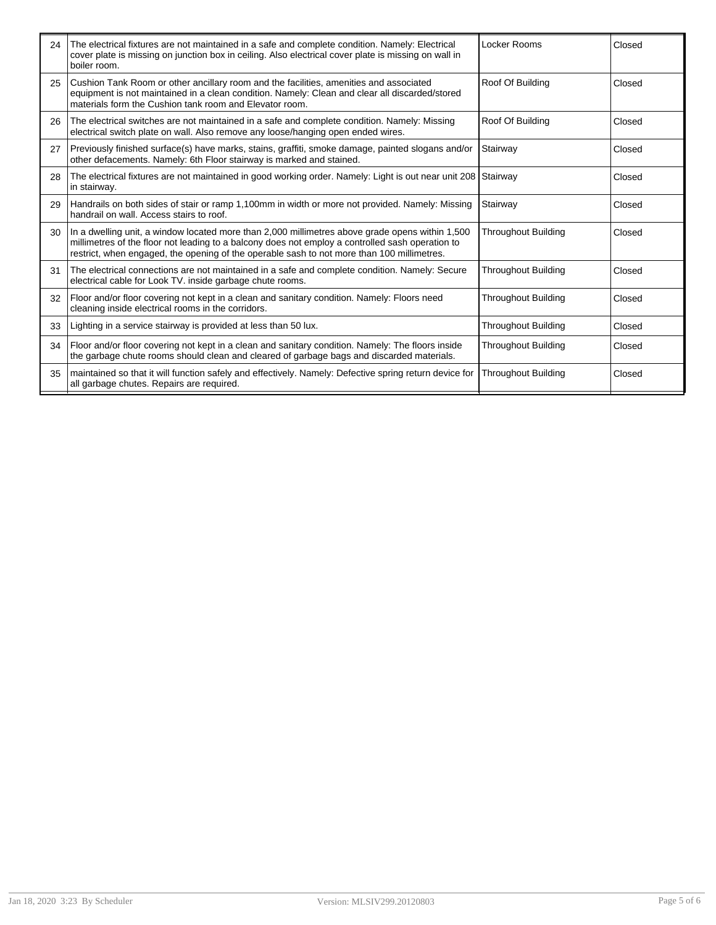| 24 | The electrical fixtures are not maintained in a safe and complete condition. Namely: Electrical<br>cover plate is missing on junction box in ceiling. Also electrical cover plate is missing on wall in<br>boiler room.                                                                           | Locker Rooms               | Closed |
|----|---------------------------------------------------------------------------------------------------------------------------------------------------------------------------------------------------------------------------------------------------------------------------------------------------|----------------------------|--------|
| 25 | Cushion Tank Room or other ancillary room and the facilities, amenities and associated<br>equipment is not maintained in a clean condition. Namely: Clean and clear all discarded/stored<br>materials form the Cushion tank room and Elevator room.                                               | Roof Of Building           | Closed |
| 26 | The electrical switches are not maintained in a safe and complete condition. Namely: Missing<br>electrical switch plate on wall. Also remove any loose/hanging open ended wires.                                                                                                                  | Roof Of Building           | Closed |
| 27 | Previously finished surface(s) have marks, stains, graffiti, smoke damage, painted slogans and/or<br>other defacements. Namely: 6th Floor stairway is marked and stained.                                                                                                                         | Stairway                   | Closed |
| 28 | The electrical fixtures are not maintained in good working order. Namely: Light is out near unit 208 Stairway<br>in stairway.                                                                                                                                                                     |                            | Closed |
| 29 | Handrails on both sides of stair or ramp 1,100mm in width or more not provided. Namely: Missing<br>handrail on wall. Access stairs to roof.                                                                                                                                                       | Stairway                   | Closed |
| 30 | In a dwelling unit, a window located more than 2,000 millimetres above grade opens within 1,500<br>millimetres of the floor not leading to a balcony does not employ a controlled sash operation to<br>restrict, when engaged, the opening of the operable sash to not more than 100 millimetres. | <b>Throughout Building</b> | Closed |
| 31 | The electrical connections are not maintained in a safe and complete condition. Namely: Secure<br>electrical cable for Look TV. inside garbage chute rooms.                                                                                                                                       | <b>Throughout Building</b> | Closed |
| 32 | Floor and/or floor covering not kept in a clean and sanitary condition. Namely: Floors need<br>cleaning inside electrical rooms in the corridors.                                                                                                                                                 | <b>Throughout Building</b> | Closed |
| 33 | Lighting in a service stairway is provided at less than 50 lux.                                                                                                                                                                                                                                   | <b>Throughout Building</b> | Closed |
| 34 | Floor and/or floor covering not kept in a clean and sanitary condition. Namely: The floors inside<br>the garbage chute rooms should clean and cleared of garbage bags and discarded materials.                                                                                                    | <b>Throughout Building</b> | Closed |
| 35 | maintained so that it will function safely and effectively. Namely: Defective spring return device for<br>all garbage chutes. Repairs are required.                                                                                                                                               | <b>Throughout Building</b> | Closed |